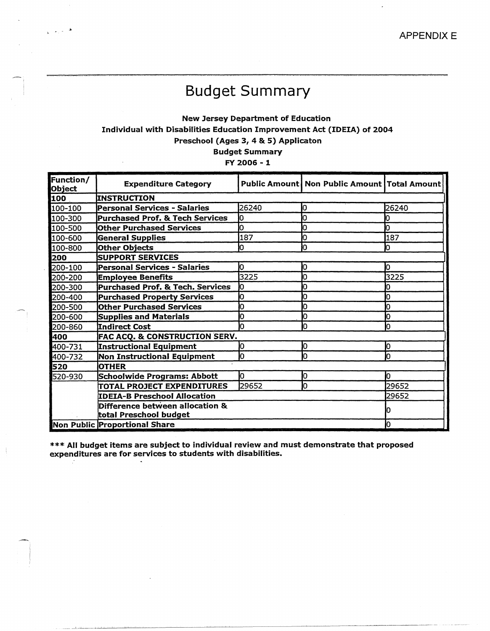# Budget Summary

 $\frac{1}{2}$ ,  $\frac{1}{2}$ ,  $\frac{1}{2}$ ,  $\frac{1}{2}$ 

## New Jersey Department of Education

# Individual with Disabilities Education Improvement Act (IDEIA) of 2004

Preschool (Ages 3, 4 & 5) Applicaton

#### Budget Summary

### **FY 2006** -1

| Function/<br><b>Object</b> | <b>Expenditure Category</b>                               |       | Public Amount   Non Public Amount   Total Amount |       |  |  |
|----------------------------|-----------------------------------------------------------|-------|--------------------------------------------------|-------|--|--|
| 100                        | <b>INSTRUCTION</b>                                        |       |                                                  |       |  |  |
| 100-100                    | <b>Personal Services - Salaries</b>                       | 26240 | 10                                               | 26240 |  |  |
| 100-300                    | Purchased Prof. & Tech Services                           | Ю     | Ю                                                |       |  |  |
| 100-500                    | <b>Other Purchased Services</b>                           | o     | 10                                               | 0     |  |  |
| 100-600                    | <b>General Supplies</b>                                   | 187   | Ю                                                | 187   |  |  |
| 100-800                    | Other Objects                                             | 0     | IО                                               | Jо    |  |  |
| 200                        | <b>SUPPORT SERVICES</b>                                   |       |                                                  |       |  |  |
| 200-100                    | Personal Services - Salaries                              | 0     | 10                                               | IО    |  |  |
| 200-200                    | <b>Employee Benefits</b>                                  | 3225  | Ю                                                | 3225  |  |  |
| 200-300                    | Purchased Prof. & Tech. Services                          | Ю     | Ю                                                |       |  |  |
| 200-400                    | <b>Purchased Property Services</b>                        | 0     | Ю                                                | ٥     |  |  |
| 200-500                    | <b>Other Purchased Services</b>                           | Ю     | 0                                                | n     |  |  |
| 200-600                    | <b>Supplies and Materials</b>                             | O     | D                                                |       |  |  |
| 200-860                    | Indirect Cost                                             | n     | D                                                | n     |  |  |
| 400                        | <b>FAC ACQ. &amp; CONSTRUCTION SERV.</b>                  |       |                                                  |       |  |  |
| 400-731                    | Instructional Equipment                                   | Ю     | 0                                                | Ю     |  |  |
| 400-732                    | Non Instructional Equipment                               | Iо    | O                                                | O     |  |  |
| 520                        | <b>OTHER</b>                                              |       |                                                  |       |  |  |
| 520-930                    | Schoolwide Programs: Abbott                               | IО    | O                                                | Ю     |  |  |
|                            | TOTAL PROJECT EXPENDITURES                                | 29652 | 0                                                | 29652 |  |  |
|                            | <b>IDEIA-B Preschool Allocation</b>                       |       |                                                  |       |  |  |
|                            | Difference between allocation &<br>total Preschool budget |       |                                                  |       |  |  |
|                            | Non Public Proportional Share                             |       |                                                  |       |  |  |

\*\*\* All budget items are subject to individual review and must demonstrate that proposed expenditures are for services to students with disabilities.